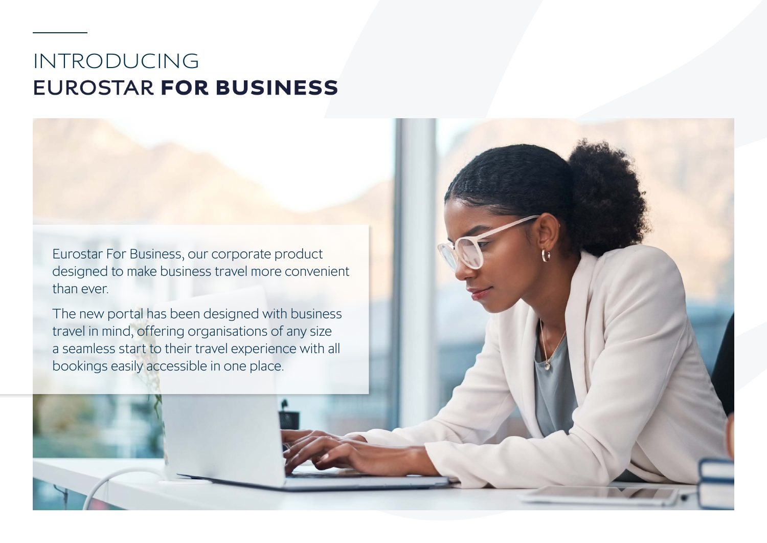## INTRODUCING **EUROSTAR FOR BUSINESS**

[Eurostar For Business](http://www.eurostar.com/uk-en/eurostar-for-business), our corporate product designed to make business travel more convenient than ever.

The new portal has been designed with business travel in mind, offering organisations of any size a seamless start to their travel experience with all bookings easily accessible in one place.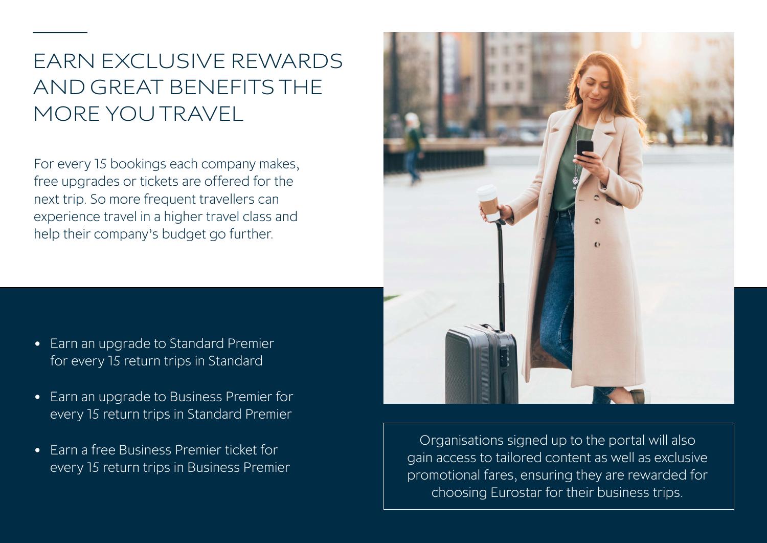# EARN EXCLUSIVE REWARDS AND GREAT BENEFITS THE MORE YOU TRAVEL

For every 15 bookings each company makes, free upgrades or tickets are offered for the next trip. So more frequent travellers can experience travel in a higher travel class and help their company's budget go further.

- Earn an upgrade to Standard Premier for every 15 return trips in Standard
- Earn an upgrade to Business Premier for every 15 return trips in Standard Premier
- Earn a free Business Premier ticket for every 15 return trips in Business Premier

Organisations signed up to the portal will also gain access to tailored content as well as exclusive promotional fares, ensuring they are rewarded for choosing Eurostar for their business trips.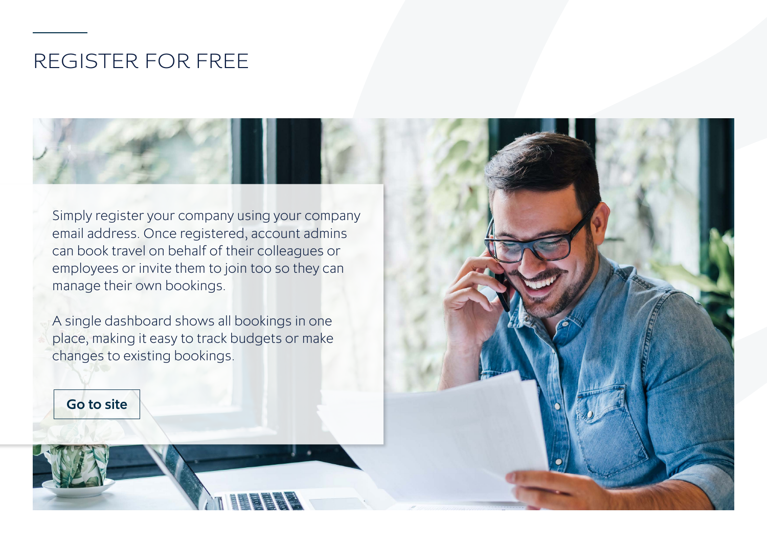### REGISTER FOR FREE

Simply register your company using your company email address. Once registered, account admins can book travel on behalf of their colleagues or employees or invite them to join too so they can manage their own bookings.

A single dashboard shows all bookings in one place, making it easy to track budgets or make changes to existing bookings.

[Go to site](https://www.eurostar.com/uk-en/eurostar-for-business)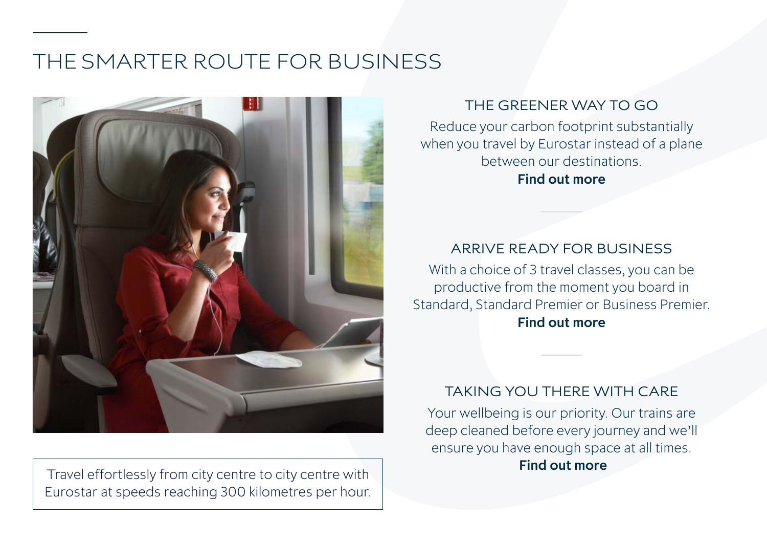## THE SMARTER ROUTE FOR BUSINESS



Travel effortlessly from city centre to city centre with Eurostar at speeds reaching 300 kilometres per hour.

#### THE GREENER WAY TO GO

Reduce your carbon footprint substantially when you travel by Eurostar instead of a plane between our destinations. [Find out more](https://www.eurostar.com/uk-en/tread-lightly)

#### ARRIVE READY FOR BUSINESS

With a choice of 3 travel classes, you can be productive from the moment you board in Standard, Standard Premier or Business Premier. [Find out more](https://www.eurostar.com/uk-en/travel-info/travel-planning/travel-classes)

#### TAKING YOU THERE WITH CARE

Your wellbeing is our priority. Our trains are deep cleaned before every journey and we'll ensure you have enough space at all times.  [Find out more](https://www.eurostar.com/uk-en/travel-info/travel-safe-with-eurostar/keeping-you-safe)